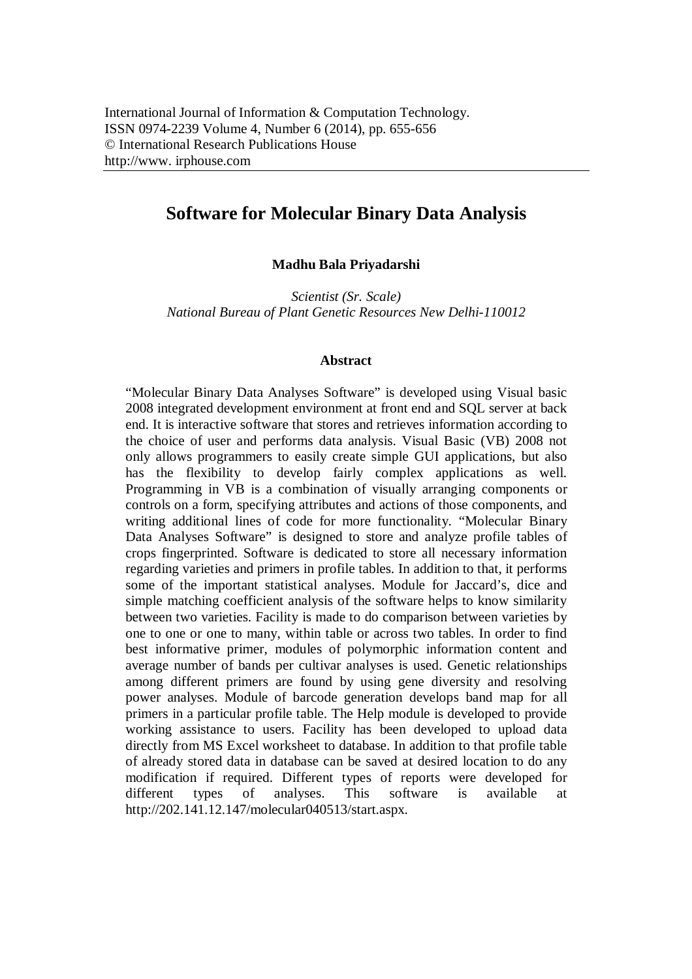## **Software for Molecular Binary Data Analysis**

## **Madhu Bala Priyadarshi**

*Scientist (Sr. Scale) National Bureau of Plant Genetic Resources New Delhi-110012*

## **Abstract**

"Molecular Binary Data Analyses Software" is developed using Visual basic 2008 integrated development environment at front end and SQL server at back end. It is interactive software that stores and retrieves information according to the choice of user and performs data analysis. Visual Basic (VB) 2008 not only allows programmers to easily create simple GUI applications, but also has the flexibility to develop fairly complex applications as well. Programming in VB is a combination of visually arranging components or controls on a form, specifying attributes and actions of those components, and writing additional lines of code for more functionality. "Molecular Binary Data Analyses Software" is designed to store and analyze profile tables of crops fingerprinted. Software is dedicated to store all necessary information regarding varieties and primers in profile tables. In addition to that, it performs some of the important statistical analyses. Module for Jaccard's, dice and simple matching coefficient analysis of the software helps to know similarity between two varieties. Facility is made to do comparison between varieties by one to one or one to many, within table or across two tables. In order to find best informative primer, modules of polymorphic information content and average number of bands per cultivar analyses is used. Genetic relationships among different primers are found by using gene diversity and resolving power analyses. Module of barcode generation develops band map for all primers in a particular profile table. The Help module is developed to provide working assistance to users. Facility has been developed to upload data directly from MS Excel worksheet to database. In addition to that profile table of already stored data in database can be saved at desired location to do any modification if required. Different types of reports were developed for different types of analyses. This software is available at http://202.141.12.147/molecular040513/start.aspx.